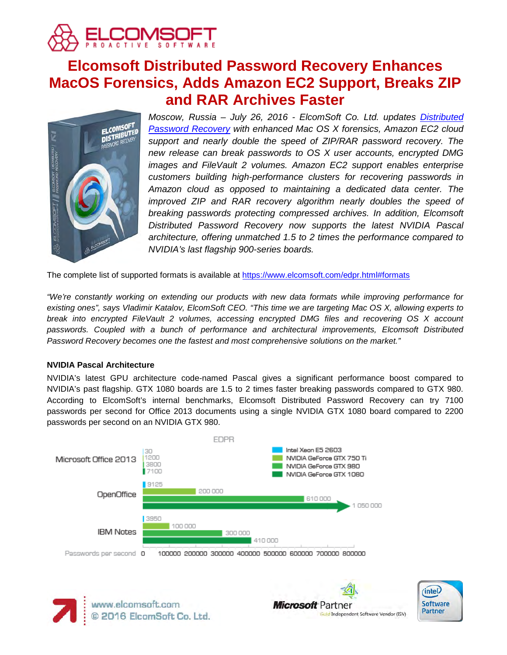

# **Elcomsoft Distributed Password Recovery Enhances MacOS Forensics, Adds Amazon EC2 Support, Breaks ZIP and RAR Archives Faster**



*Moscow, Russia – July 26, 2016 - ElcomSoft Co. Ltd. updates [Distributed](https://www.elcomsoft.com/edpr.html)  [Password Recovery](https://www.elcomsoft.com/edpr.html) with enhanced Mac OS X forensics, Amazon EC2 cloud support and nearly double the speed of ZIP/RAR password recovery. The new release can break passwords to OS X user accounts, encrypted DMG images and FileVault 2 volumes. Amazon EC2 support enables enterprise customers building high-performance clusters for recovering passwords in Amazon cloud as opposed to maintaining a dedicated data center. The improved ZIP and RAR recovery algorithm nearly doubles the speed of breaking passwords protecting compressed archives. In addition, Elcomsoft Distributed Password Recovery now supports the latest NVIDIA Pascal architecture, offering unmatched 1.5 to 2 times the performance compared to NVIDIA's last flagship 900-series boards.*

The complete list of supported formats is available at<https://www.elcomsoft.com/edpr.html#formats>

*"We're constantly working on extending our products with new data formats while improving performance for existing ones", says Vladimir Katalov, ElcomSoft CEO. "This time we are targeting Mac OS X, allowing experts to break into encrypted FileVault 2 volumes, accessing encrypted DMG files and recovering OS X account passwords. Coupled with a bunch of performance and architectural improvements, Elcomsoft Distributed Password Recovery becomes one the fastest and most comprehensive solutions on the market."*

## **NVIDIA Pascal Architecture**

NVIDIA's latest GPU architecture code-named Pascal gives a significant performance boost compared to NVIDIA's past flagship. GTX 1080 boards are 1.5 to 2 times faster breaking passwords compared to GTX 980. According to ElcomSoft's internal benchmarks, Elcomsoft Distributed Password Recovery can try 7100 passwords per second for Office 2013 documents using a single NVIDIA GTX 1080 board compared to 2200 passwords per second on an NVIDIA GTX 980.





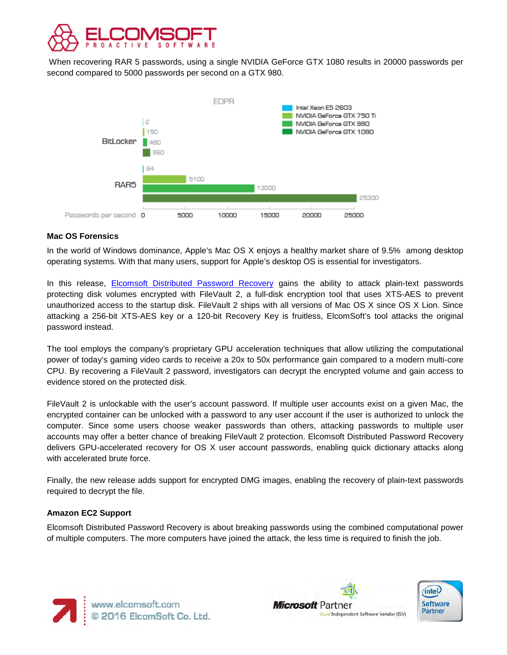

When recovering RAR 5 passwords, using a single NVIDIA GeForce GTX 1080 results in 20000 passwords per second compared to 5000 passwords per second on a GTX 980.



# **Mac OS Forensics**

In the world of Windows dominance, Apple's Mac OS X enjoys a healthy market share of 9.5% among desktop operating systems. With that many users, support for Apple's desktop OS is essential for investigators.

In this release, [Elcomsoft Distributed Password Recovery](https://www.elcomsoft.com/edpr.html) gains the ability to attack plain-text passwords protecting disk volumes encrypted with FileVault 2, a full-disk encryption tool that uses XTS-AES to prevent unauthorized access to the startup disk. FileVault 2 ships with all versions of Mac OS X since OS X Lion. Since attacking a 256-bit XTS-AES key or a 120-bit Recovery Key is fruitless, ElcomSoft's tool attacks the original password instead.

The tool employs the company's proprietary GPU acceleration techniques that allow utilizing the computational power of today's gaming video cards to receive a 20x to 50x performance gain compared to a modern multi-core CPU. By recovering a FileVault 2 password, investigators can decrypt the encrypted volume and gain access to evidence stored on the protected disk.

FileVault 2 is unlockable with the user's account password. If multiple user accounts exist on a given Mac, the encrypted container can be unlocked with a password to any user account if the user is authorized to unlock the computer. Since some users choose weaker passwords than others, attacking passwords to multiple user accounts may offer a better chance of breaking FileVault 2 protection. Elcomsoft Distributed Password Recovery delivers GPU-accelerated recovery for OS X user account passwords, enabling quick dictionary attacks along with accelerated brute force.

Finally, the new release adds support for encrypted DMG images, enabling the recovery of plain-text passwords required to decrypt the file.

## **Amazon EC2 Support**

Elcomsoft Distributed Password Recovery is about breaking passwords using the combined computational power of multiple computers. The more computers have joined the attack, the less time is required to finish the job.